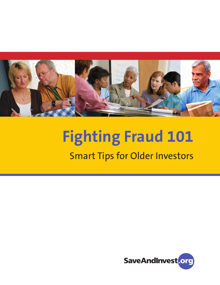

# **Fighting Fraud 101**

## Smart Tips for Older Investors

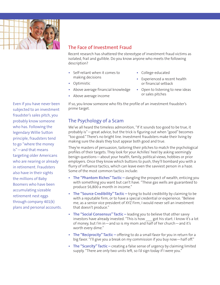

## The Face of Investment Fraud

Recent research has shattered the stereotype of investment fraud victims as isolated, frail and gullible. Do you know anyone who meets the following description?

- **•** Self-reliant when it comes to making decisions
- **•** Optimistic
- **•** Above average financial knowledge
- **•** Above average income
- **•** College-educated
- **•** Experienced a recent health or financial setback
- **•** Open to listening to new ideas or sales pitches

Even if you have never been subjected to an investment fraudster's sales pitch, you probably know someone who has. Following the legendary Willie Sutton principle, fraudsters tend to go "where the money is"—and that means targeting older Americans who are nearing or already in retirement. Fraudsters also have in their sights the millions of Baby Boomers who have been accumulating sizeable retirement nest eggs through company 401(k) plans and personal accounts. If so, you know someone who fits the profile of an investment fraudster's prime target.

### The Psychology of a Scam

We've all heard the timeless admonition, "If it sounds too good to be true, it probably is"—great advice, but the trick is figuring out when "good" becomes "too good." There's no bright line. Investment fraudsters make their living by making sure the deals they tout appear both good and true.

They're masters of persuasion, tailoring their pitches to match the psychological profiles of their targets. They look for your Achilles' heel by asking seemingly benign questions—about your health, family, political views, hobbies or prior employers. Once they know which buttons to push, they'll bombard you with a flurry of influence tactics, which can leave even the savviest person in a haze. Some of the most common tactics include:

- **The "Phantom Riches" Tactic –** dangling the prospect of wealth, enticing you with something you want but can't have. "These gas wells are guaranteed to produce \$6,800 a month in income."
- **The "Source Credibility" Tactic –** trying to build credibility by claiming to be with a reputable firm, or to have a special credential or experience. "Believe me, as a senior vice president of XYZ Firm, I would never sell an investment that doesn't produce."
- **The "Social Consensus" Tactic –** leading you to believe that other savvy investors have already invested. "This is how \_\_\_ got his start. I know it's a lot of money, but I'm in—and so is my mom and half of her church—and it's worth every dime."
- **The "Reciprocity" Tactic –** offering to do a small favor for you in return for a big favor. "I'll give you a break on my commission if you buy now—half off."
- **The "Scarcity" Tactic –** creating a false sense of urgency by claiming limited supply. "There are only two units left, so I'd sign today if I were you."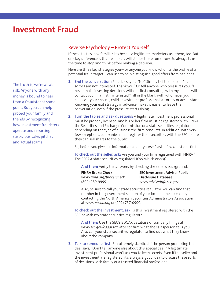## **Investment Fraud**

Reverse Psychology – Protect Yourself

If these tactics look familiar, it's because legitimate marketers use them, too. But one key difference is that real deals will still be there tomorrow. So always take the time to stop and think before making a decision.

Here are three key strategies you—or anyone you know who fits the profile of a potential fraud target—can use to help distinguish good offers from bad ones:

- **1. End the conversation:** Practice saying "No." Simply tell the person, "I am sorry, I am not interested. Thank you." Or tell anyone who pressures you, "I never make investing decisions without first consulting with my [1]. I will contact you if I am still interested." Fill in the blank with whomever you choose—your spouse, child, investment professional, attorney or accountant. Knowing your exit strategy in advance makes it easier to leave the conversation, even if the pressure starts rising.
- **2. Turn the tables and ask questions:** A legitimate investment professional must be properly licensed, and his or her firm must be registered with FINRA, the Securities and Exchange Commission or a state securities regulator depending on the type of business the firm conducts. In addition, with very few exceptions, companies must register their securities with the SEC before they can sell shares to the public.

So, before you give out information about yourself, ask a few questions first.

**To check out the seller, ask:** Are you and your firm registered with FINRA? The SEC? A state securities regulator? If so, which one(s)?

**And then:** Verify the answers by checking the seller's background.

| <b>FINRA BrokerCheck</b>  |  |
|---------------------------|--|
| www.finra.org/brokercheck |  |
| (800) 289-9999            |  |

**FINRA BrokerCheck SEC Investment Adviser Public** *www.finra.org/brokercheck* **Disclosure Database** (800) 289-9999 *www.adviserinfo.sec.gov*

Also, be sure to call your state securities regulator. You can find that number in the government section of your local phone book or by contacting the North American Securities Administrators Association at *www.nasaa.org* or (202) 737-0900.

**To check out the investment, ask:** Is this investment registered with the SEC or with my state securities regulator?

**And then:** Use the SEC's EDGAR database of company filings at *www.sec.gov/edgar.shtml* to confirm what the salesperson tells you. Also call your state securities regulator to find out what they know about the company.

**3. Talk to someone first:** Be extremely skeptical if the person promoting the deal says, "Don't tell anyone else about this special deal!" A legitimate investment professional won't ask you to keep secrets. Even if the seller and the investment are registered, it's always a good idea to discuss these sorts of decisions with family or a trusted financial professional.

The truth is, we're all at risk. Anyone with any money is bound to hear from a fraudster at some point. But you can help protect your family and friends by recognizing how investment fraudsters operate and reporting suspicious sales pitches and actual scams.